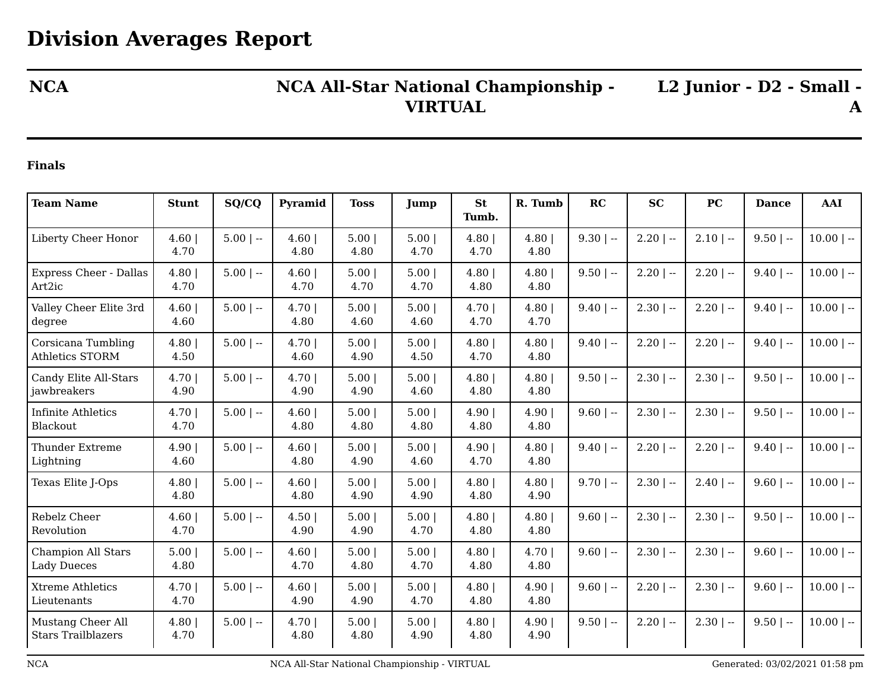## **NCA NCA All-Star National Championship - VIRTUAL**

**L2 Junior - D2 - Small - A**

## **Finals**

| <b>Team Name</b>                                | <b>Stunt</b>  | SQ/CQ       | Pyramid       | <b>Toss</b>  | Jump         | <b>St</b><br>Tumb. | R. Tumb      | RC           | <b>SC</b>    | <b>PC</b>    | <b>Dance</b> | <b>AAI</b>   |
|-------------------------------------------------|---------------|-------------|---------------|--------------|--------------|--------------------|--------------|--------------|--------------|--------------|--------------|--------------|
| Liberty Cheer Honor                             | 4.60<br>4.70  | $5.00$   -- | 4.60<br>4.80  | 5.00<br>4.80 | 5.00<br>4.70 | 4.80<br>4.70       | 4.80<br>4.80 | $9.30$   --  | $2.20$   $-$ | $2.10$   $-$ | $9.50$   --  | $10.00$   -- |
| <b>Express Cheer - Dallas</b><br>Art2ic         | 4.80<br>4.70  | $5.00$   -- | 4.60<br>4.70  | 5.00<br>4.70 | 5.00<br>4.70 | 4.80<br>4.80       | 4.80<br>4.80 | $9.50$   --  | $2.20$   $-$ | $2.20$   --  | $9.40$   --  | $10.00$   -- |
| Valley Cheer Elite 3rd<br>degree                | 4.60<br>4.60  | $5.00$   -- | 4.70 <br>4.80 | 5.00<br>4.60 | 5.00<br>4.60 | 4.70 <br>4.70      | 4.80<br>4.70 | $9.40$   --  | $2.30$   --  | $2.20$   --  | $9.40$   --  | $10.00$   -- |
| Corsicana Tumbling<br>Athletics STORM           | 4.80<br>4.50  | $5.00$   -- | 4.70<br>4.60  | 5.00<br>4.90 | 5.00<br>4.50 | 4.80<br>4.70       | 4.80<br>4.80 | $9.40$   $-$ | $2.20$   $-$ | $2.20$   --  | $9.40$   --  | $10.00$   -- |
| Candy Elite All-Stars<br>jawbreakers            | 4.70 <br>4.90 | $5.00$   -- | 4.70<br>4.90  | 5.00<br>4.90 | 5.00<br>4.60 | 4.80<br>4.80       | 4.80<br>4.80 | $9.50$   --  | $2.30$   $-$ | $2.30$   $-$ | $9.50$   --  | $10.00$   -- |
| Infinite Athletics<br>Blackout                  | 4.70 <br>4.70 | $5.00$   -- | 4.60<br>4.80  | 5.00<br>4.80 | 5.00<br>4.80 | 4.90 <br>4.80      | 4.90<br>4.80 | $9.60$   --  | $2.30$   --  | $2.30$   --  | $9.50$   --  | $10.00$   -- |
| <b>Thunder Extreme</b><br>Lightning             | 4.90<br>4.60  | $5.00$   -- | 4.60<br>4.80  | 5.00<br>4.90 | 5.00<br>4.60 | 4.90<br>4.70       | 4.80<br>4.80 | $9.40$   --  | $2.20$   --  | $2.20$   --  | $9.40$   --  | $10.00$   -- |
| Texas Elite J-Ops                               | 4.80<br>4.80  | $5.00$   -- | 4.60<br>4.80  | 5.00<br>4.90 | 5.00<br>4.90 | 4.80<br>4.80       | 4.80<br>4.90 | $9.70$   --  | $2.30$   $-$ | $2.40$   $-$ | $9.60$   --  | $10.00$   -- |
| Rebelz Cheer<br>Revolution                      | 4.60<br>4.70  | $5.00$   -- | 4.50 <br>4.90 | 5.00<br>4.90 | 5.00<br>4.70 | 4.80<br>4.80       | 4.80<br>4.80 | $9.60$   --  | $2.30$   --  | $2.30$   --  | $9.50$   --  | $10.00$   -- |
| <b>Champion All Stars</b><br><b>Lady Dueces</b> | 5.00 <br>4.80 | $5.00$   -- | 4.60<br>4.70  | 5.00<br>4.80 | 5.00<br>4.70 | 4.80<br>4.80       | 4.70<br>4.80 | $9.60$   --  | $2.30$   $-$ | $2.30$   $-$ | $9.60$   --  | $10.00$   -- |
| <b>Xtreme Athletics</b><br>Lieutenants          | 4.70 <br>4.70 | $5.00$   -- | 4.60<br>4.90  | 5.00<br>4.90 | 5.00<br>4.70 | 4.80<br>4.80       | 4.90<br>4.80 | $9.60$   --  | $2.20$   $-$ | $2.30$   --  | $9.60$   --  | $10.00$   -- |
| Mustang Cheer All<br><b>Stars Trailblazers</b>  | 4.80<br>4.70  | $5.00$   -- | 4.70 <br>4.80 | 5.00<br>4.80 | 5.00<br>4.90 | 4.80<br>4.80       | 4.90<br>4.90 | $9.50$   --  | $2.20$   --  | $2.30$   --  | $9.50$   --  | $10.00$   -- |